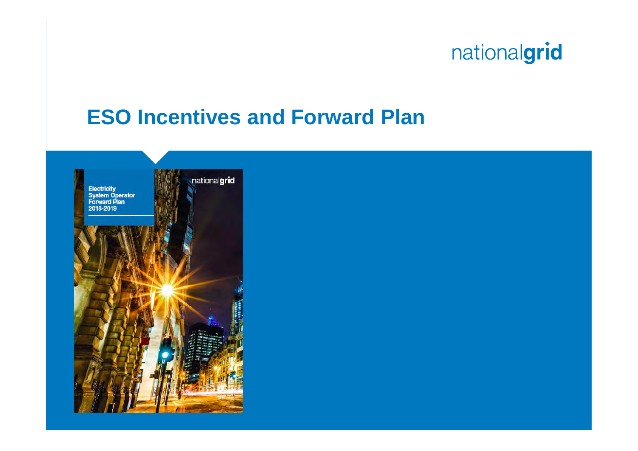## **ESO Incentives and Forward Plan**

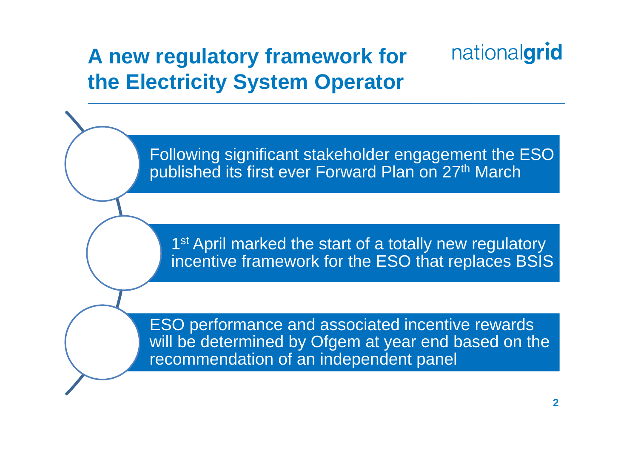#### nationalgrid **A new regulatory framework for the Electricity System Operator**

Following significant stakeholder engagement the ESO published its first ever Forward Plan on 27th March

1<sup>st</sup> April marked the start of a totally new regulatory incentive framework for the ESO that replaces BSIS

ESO performance and associated incentive rewards will be determined by Ofgem at year end based on the recommendation of an independent panel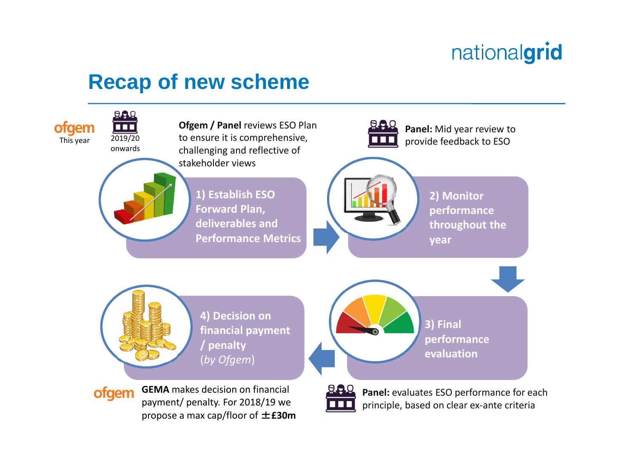### **Recap of new scheme**

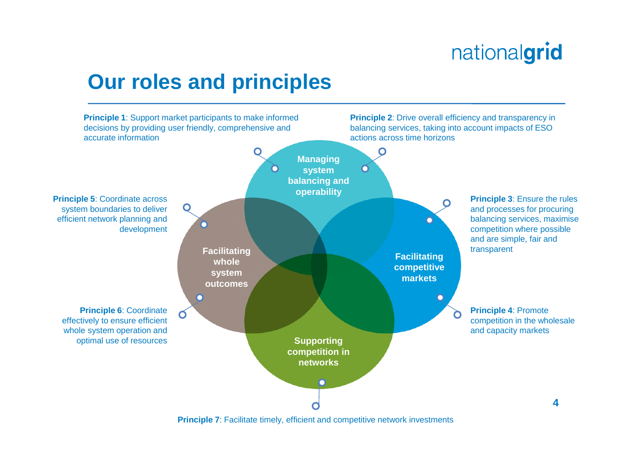#### **Our roles and principles**



**Principle 7:** Facilitate timely, efficient and competitive network investments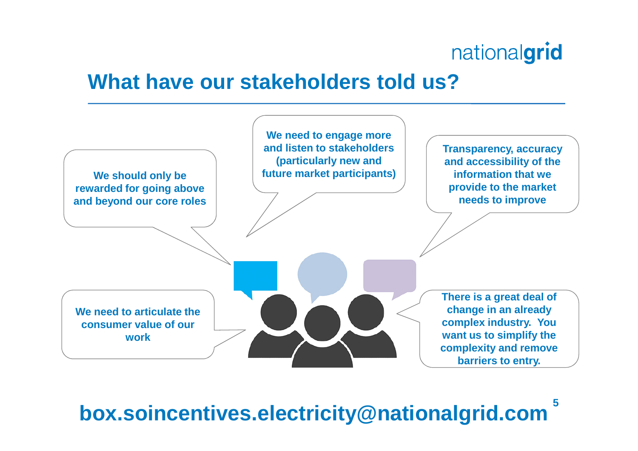### **What have our stakeholders told us?**



**5 box.soincentives.electricity@nationalgrid.com**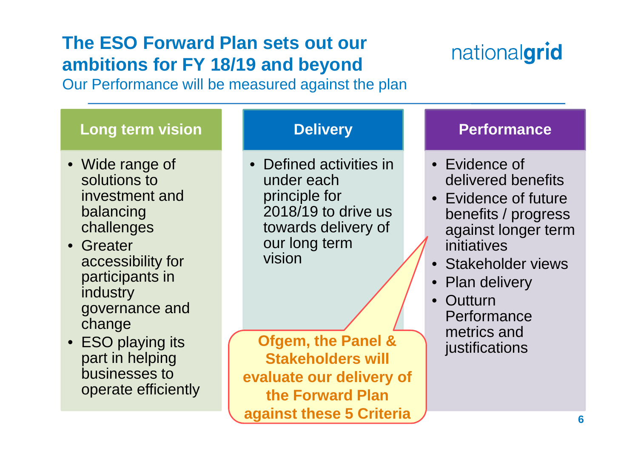#### **The ESO Forward Plan sets out our ambitions for FY 18/19 and beyond**

# nationalgrid

Our Performance will be measured against the plan

#### **6 Long term vision** • Wide range of solutions to investment and balancing challenges • Greater accessibility for participants in **industry** governance and change • ESO playing its part in helping businesses to operate efficiently **Delivery** • Defined activities in under each principle for 2018/19 to drive us towards delivery of our long term vision **Performance** • Evidence of delivered benefits • Evidence of future benefits / progress against longer term initiatives • Stakeholder views • Plan delivery • Outturn **Performance** metrics and **Ofgem, the Panel & and instifications Stakeholders will evaluate our delivery of the Forward Plan against these 5 Criteria**